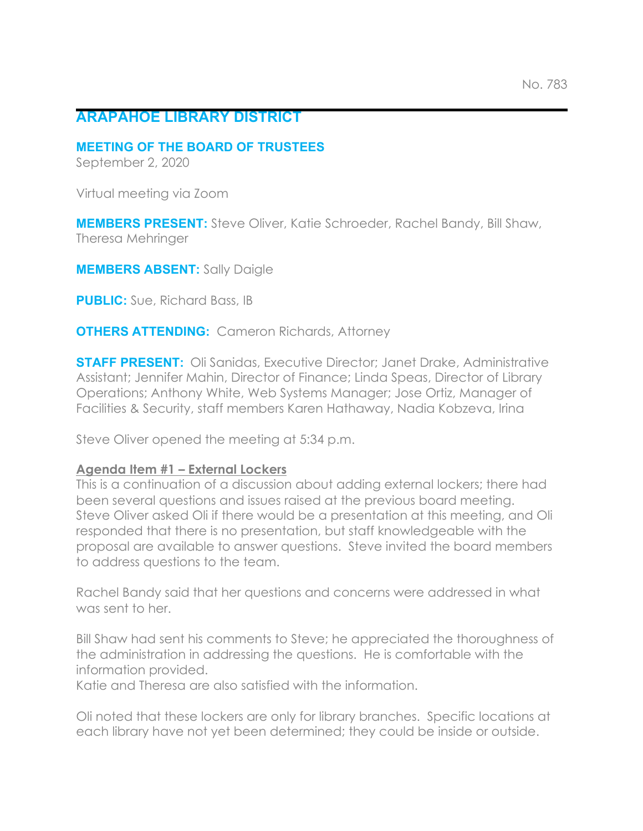# **ARAPAHOE LIBRARY DISTRICT**

#### **MEETING OF THE BOARD OF TRUSTEES**

September 2, 2020

Virtual meeting via Zoom

**MEMBERS PRESENT:** Steve Oliver, Katie Schroeder, Rachel Bandy, Bill Shaw, Theresa Mehringer

**MEMBERS ABSENT:** Sally Daigle

**PUBLIC:** Sue, Richard Bass, IB

#### **OTHERS ATTENDING:** Cameron Richards, Attorney

**STAFF PRESENT:** Oli Sanidas, Executive Director; Janet Drake, Administrative Assistant; Jennifer Mahin, Director of Finance; Linda Speas, Director of Library Operations; Anthony White, Web Systems Manager; Jose Ortiz, Manager of Facilities & Security, staff members Karen Hathaway, Nadia Kobzeva, Irina

Steve Oliver opened the meeting at 5:34 p.m.

### **Agenda Item #1 – External Lockers**

This is a continuation of a discussion about adding external lockers; there had been several questions and issues raised at the previous board meeting. Steve Oliver asked Oli if there would be a presentation at this meeting, and Oli responded that there is no presentation, but staff knowledgeable with the proposal are available to answer questions. Steve invited the board members to address questions to the team.

Rachel Bandy said that her questions and concerns were addressed in what was sent to her.

Bill Shaw had sent his comments to Steve; he appreciated the thoroughness of the administration in addressing the questions. He is comfortable with the information provided.

Katie and Theresa are also satisfied with the information.

Oli noted that these lockers are only for library branches. Specific locations at each library have not yet been determined; they could be inside or outside.